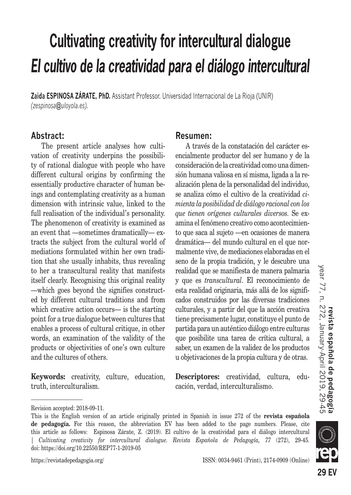## **Cultivating creativity for intercultural dialogue** *El cultivo de la creatividad para el diálogo intercultural*

**Zaida ESPINOSA ZÁRATE, PhD.** Assistant Professor. Universidad Internacional de La Rioja (UNIR) *(zespinosa@uloyola.es).*

#### **Abstract:**

The present article analyses how cultivation of creativity underpins the possibility of rational dialogue with people who have different cultural origins by confirming the essentially productive character of human beings and contemplating creativity as a human dimension with intrinsic value, linked to the full realisation of the individual's personality. The phenomenon of creativity is examined as an event that —sometimes dramatically— extracts the subject from the cultural world of mediations formulated within her own tradition that she usually inhabits, thus revealing to her a transcultural reality that manifests itself clearly. Recognising this original reality —which goes beyond the signifies constructed by different cultural traditions and from which creative action occurs— is the starting point for a true dialogue between cultures that enables a process of cultural critique, in other words, an examination of the validity of the products or objectivities of one's own culture and the cultures of others.

**Keywords:** creativity, culture, education, truth, interculturalism.

#### **Resumen:**

A través de la constatación del carácter esencialmente productor del ser humano y de la consideración de la creatividad como una dimensión humana valiosa en sí misma, ligada a la realización plena de la personalidad del individuo, se analiza cómo el cultivo de la creatividad *cimienta la posibilidad de diálogo racional con los que tienen orígenes culturales diversos.* Se examina el fenómeno creativo como acontecimiento que saca al sujeto —en ocasiones de manera dramática— del mundo cultural en el que normalmente vive, de mediaciones elaboradas en el seno de la propia tradición, y le descubre una realidad que se manifiesta de manera palmaria y que es *transcultural.* El reconocimiento de esta realidad originaria, más allá de los significados construidos por las diversas tradiciones culturales, y a partir del que la acción creativa tiene precisamente lugar, constituye el punto de partida para un auténtico diálogo entre culturas que posibilite una tarea de crítica cultural, a saber, un examen de la validez de los productos u objetivaciones de la propia cultura y de otras.

**Descriptores:** creatividad, cultura, educación, verdad, interculturalismo.

doi: https://doi.org/10.22550/REP77-1-2019-05



Revision accepted: 2018-09-11.

This is the English version of an article originally printed in Spanish in issue 272 of the **revista española de pedagogía.** For this reason, the abbreviation EV has been added to the page numbers. Please, cite this article as follows: Espinosa Zárate, Z. (2019). El cultivo de la creatividad para el diálogo intercultural | *Cultivating creativity for intercultural dialogue. Revista Española de Pedagogía, 77* (272), 29-45.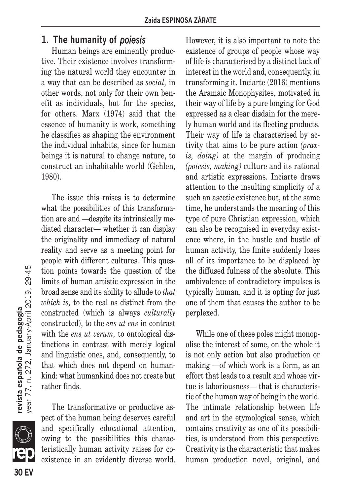## **1. The humanity of** *poiesis*

Human beings are eminently productive. Their existence involves transforming the natural world they encounter in a way that can be described as *social,* in other words, not only for their own benefit as individuals, but for the species, for others. Marx (1974) said that the essence of humanity is work, something he classifies as shaping the environment the individual inhabits, since for human beings it is natural to change nature, to construct an inhabitable world (Gehlen, 1980).

The issue this raises is to determine what the possibilities of this transformation are and —despite its intrinsically mediated character— whether it can display the originality and immediacy of natural reality and serve as a meeting point for people with different cultures. This question points towards the question of the limits of human artistic expression in the broad sense and its ability to allude to *that which is,* to the real as distinct from the constructed (which is always *culturally* constructed), to the *ens ut ens* in contrast with the *ens ut verum*, to ontological distinctions in contrast with merely logical and linguistic ones, and, consequently, to that which does not depend on humankind: what humankind does not create but rather finds.

The transformative or productive aspect of the human being deserves careful and specifically educational attention, owing to the possibilities this characteristically human activity raises for coexistence in an evidently diverse world. However, it is also important to note the existence of groups of people whose way of life is characterised by a distinct lack of interest in the world and, consequently, in transforming it. Inciarte (2016) mentions the Aramaic Monophysites, motivated in their way of life by a pure longing for God expressed as a clear disdain for the merely human world and its fleeting products. Their way of life is characterised by activity that aims to be pure action *(praxis, doing)* at the margin of producing *(poiesis, making)* culture and its rational and artistic expressions. Inciarte draws attention to the insulting simplicity of a such an ascetic existence but, at the same time, he understands the meaning of this type of pure Christian expression, which can also be recognised in everyday existence where, in the hustle and bustle of human activity, the finite suddenly loses all of its importance to be displaced by the diffused fulness of the absolute. This ambivalence of contradictory impulses is typically human, and it is opting for just one of them that causes the author to be perplexed.

While one of these poles might monopolise the interest of some, on the whole it is not only action but also production or making —of which work is a form, as an effort that leads to a result and whose virtue is laboriousness— that is characteristic of the human way of being in the world. The intimate relationship between life and art in the etymological sense, which contains creativity as one of its possibilities, is understood from this perspective. Creativity is the characteristic that makes human production novel, original, and



**IR**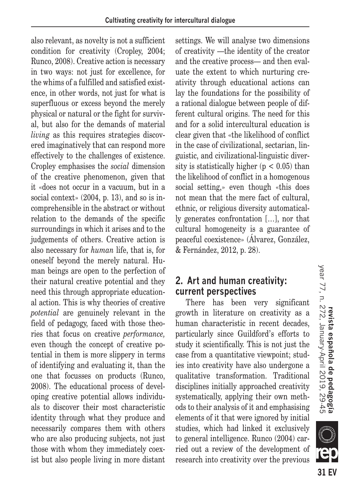also relevant, as novelty is not a sufficient condition for creativity (Cropley, 2004; Runco, 2008). Creative action is necessary in two ways: not just for excellence, for the whims of a fulfilled and satisfied existence, in other words, not just for what is superfluous or excess beyond the merely physical or natural or the fight for survival, but also for the demands of material *living* as this requires strategies discovered imaginatively that can respond more effectively to the challenges of existence. Cropley emphasises the *social* dimension of the creative phenomenon, given that it «does not occur in a vacuum, but in a social context» (2004, p. 13), and so is incomprehensible in the abstract or without relation to the demands of the specific surroundings in which it arises and to the judgements of others. Creative action is also necessary for *human* life, that is, for oneself beyond the merely natural. Human beings are open to the perfection of their natural creative potential and they need this through appropriate educational action. This is why theories of creative *potential* are genuinely relevant in the field of pedagogy, faced with those theories that focus on creative *performance,* even though the concept of creative potential in them is more slippery in terms of identifying and evaluating it, than the one that focusses on products (Runco, 2008). The educational process of developing creative potential allows individuals to discover their most characteristic identity through what they produce and necessarily compares them with others who are also producing subjects, not just those with whom they immediately coexist but also people living in more distant settings. We will analyse two dimensions of creativity —the identity of the creator and the creative process— and then evaluate the extent to which nurturing creativity through educational actions can lay the foundations for the possibility of a rational dialogue between people of different cultural origins. The need for this and for a solid intercultural education is clear given that «the likelihood of conflict in the case of civilizational, sectarian, linguistic, and civilizational-linguistic diversity is statistically higher ( $p < 0.05$ ) than the likelihood of conflict in a homogenous social setting,» even though «this does not mean that the mere fact of cultural, ethnic, or religious diversity automatically generates confrontation […], nor that cultural homogeneity is a guarantee of peaceful coexistence» (Álvarez, González, & Fernández, 2012, p. 28).

## **2. Art and human creativity: current perspectives**

There has been very significant growth in literature on creativity as a human characteristic in recent decades, particularly since Guildford's efforts to study it scientifically. This is not just the case from a quantitative viewpoint; studies into creativity have also undergone a qualitative transformation. Traditional disciplines initially approached creativity systematically, applying their own methods to their analysis of it and emphasising elements of it that were ignored by initial studies, which had linked it exclusively to general intelligence. Runco (2004) carried out a review of the development of research into creativity over the previous

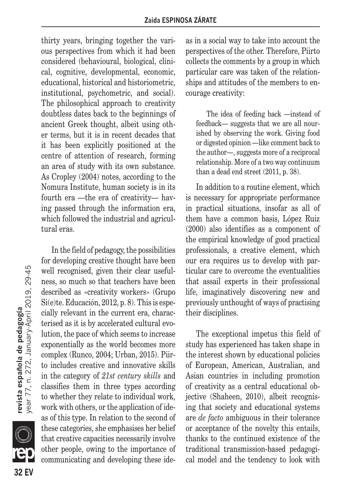thirty years, bringing together the various perspectives from which it had been considered (behavioural, biological, clinical, cognitive, developmental, economic, educational, historical and historiometric, institutional, psychometric, and social). The philosophical approach to creativity doubtless dates back to the beginnings of ancient Greek thought, albeit using other terms, but it is in recent decades that it has been explicitly positioned at the centre of attention of research, forming an area of study with its own substance. As Cropley (2004) notes, according to the Nomura Institute, human society is in its fourth era —the era of creativity— having passed through the information era, which followed the industrial and agricultural eras.

In the field of pedagogy, the possibilities for developing creative thought have been well recognised, given their clear usefulness, so much so that teachers have been described as «creativity workers» (Grupo Si(e)te. Educación, 2012, p. 8). This is especially relevant in the current era, characterised as it is by accelerated cultural evolution, the pace of which seems to increase exponentially as the world becomes more complex (Runco, 2004; Urban, 2015). Piirto includes creative and innovative skills in the category of *21st century skills* and classifies them in three types according to whether they relate to individual work, work with others, or the application of ideas of this type. In relation to the second of these categories, she emphasises her belief that creative capacities necessarily involve other people, owing to the importance of communicating and developing these ideas in a social way to take into account the perspectives of the other. Therefore, Piirto collects the comments by a group in which particular care was taken of the relationships and attitudes of the members to encourage creativity:

The idea of feeding back —instead of feedback— suggests that we are all nourished by observing the work. Giving food or digested opinion —like comment back to the author—, suggests more of a reciprocal relationship. More of a two way continuum than a dead end street (2011, p. 38).

In addition to a routine element, which is necessary for appropriate performance in practical situations, insofar as all of them have a common basis, López Ruiz (2000) also identifies as a component of the empirical knowledge of good practical professionals, a creative element, which our era requires us to develop with particular care to overcome the eventualities that assail experts in their professional life, imaginatively discovering new and previously unthought of ways of practising their disciplines.

The exceptional impetus this field of study has experienced has taken shape in the interest shown by educational policies of European, American, Australian, and Asian countries in including promotion of creativity as a central educational objective (Shaheen, 2010), albeit recognising that society and educational systems are *de facto* ambiguous in their tolerance or acceptance of the novelty this entails, thanks to the continued existence of the traditional transmission-based pedagogical model and the tendency to look with

**TE 32 FV**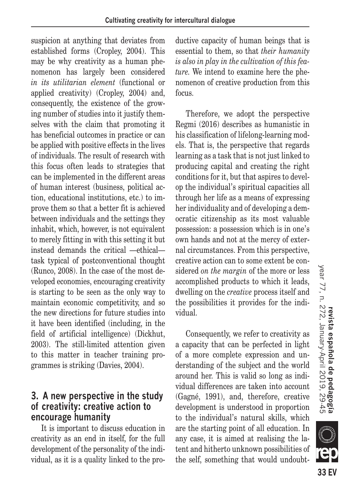suspicion at anything that deviates from established forms (Cropley, 2004). This may be why creativity as a human phenomenon has largely been considered *in its utilitarian element* (functional or applied creativity) (Cropley, 2004) and, consequently, the existence of the growing number of studies into it justify themselves with the claim that promoting it has beneficial outcomes in practice or can be applied with positive effects in the lives of individuals. The result of research with this focus often leads to strategies that can be implemented in the different areas of human interest (business, political action, educational institutions, etc.) to improve them so that a better fit is achieved between individuals and the settings they inhabit, which, however, is not equivalent to merely fitting in with this setting it but instead demands the critical —ethical task typical of postconventional thought (Runco, 2008). In the case of the most developed economies, encouraging creativity is starting to be seen as the only way to maintain economic competitivity, and so the new directions for future studies into it have been identified (including, in the field of artificial intelligence) (Dickhut, 2003). The still-limited attention given to this matter in teacher training programmes is striking (Davies, 2004).

## **3. A new perspective in the study of creativity: creative action to encourage humanity**

It is important to discuss education in creativity as an end in itself, for the full development of the personality of the individual, as it is a quality linked to the productive capacity of human beings that is essential to them, so that *their humanity is also in play in the cultivation of this feature.* We intend to examine here the phenomenon of creative production from this focus.

Therefore, we adopt the perspective Regmi (2016) describes as humanistic in his classification of lifelong-learning models. That is, the perspective that regards learning as a task that is not just linked to producing capital and creating the right conditions for it, but that aspires to develop the individual's spiritual capacities all through her life as a means of expressing her individuality and of developing a democratic citizenship as its most valuable possession: a possession which is in one's own hands and not at the mercy of external circumstances. From this perspective, creative action can to some extent be considered *on the margin* of the more or less accomplished products to which it leads, dwelling on the *creative* process itself and the possibilities it provides for the individual.

Consequently, we refer to creativity as a capacity that can be perfected in light of a more complete expression and understanding of the subject and the world around her. This is valid so long as individual differences are taken into account (Gagné, 1991), and, therefore, creative development is understood in proportion to the individual's natural skills, which are the starting point of all education. In any case, it is aimed at realising the latent and hitherto unknown possibilities of the self, something that would undoubt-

**SILLE** 

33 EV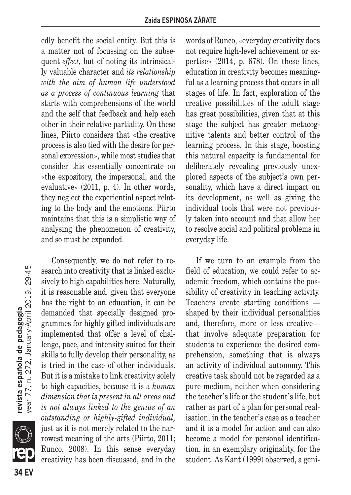edly benefit the social entity. But this is a matter not of focussing on the subsequent *effect,* but of noting its intrinsically valuable character and *its relationship with the aim of human life understood as a process of continuous learning* that starts with comprehensions of the world and the self that feedback and help each other in their relative partiality. On these lines, Piirto considers that «the creative process is also tied with the desire for personal expression», while most studies that consider this essentially concentrate on «the expository, the impersonal, and the evaluative» (2011, p. 4). In other words, they neglect the experiential aspect relating to the body and the emotions. Piirto maintains that this is a simplistic way of analysing the phenomenon of creativity, and so must be expanded.

Consequently, we do not refer to research into creativity that is linked exclusively to high capabilities here. Naturally, it is reasonable and, given that everyone has the right to an education, it can be demanded that specially designed programmes for highly gifted individuals are implemented that offer a level of challenge, pace, and intensity suited for their skills to fully develop their personality, as is tried in the case of other individuals. But it is a mistake to link creativity solely to high capacities, because it is a *human dimension that is present in all areas and is not always linked to the genius of an outstanding or highly-gifted individual,* just as it is not merely related to the narrowest meaning of the arts (Piirto, 2011; Runco, 2008). In this sense everyday creativity has been discussed, and in the words of Runco, «everyday creativity does not require high-level achievement or expertise» (2014, p. 678). On these lines, education in creativity becomes meaningful as a learning process that occurs in all stages of life. In fact, exploration of the creative possibilities of the adult stage has great possibilities, given that at this stage the subject has greater metacognitive talents and better control of the learning process. In this stage, boosting this natural capacity is fundamental for deliberately revealing previously unexplored aspects of the subject's own personality, which have a direct impact on its development, as well as giving the individual tools that were not previously taken into account and that allow her to resolve social and political problems in everyday life.

If we turn to an example from the field of education, we could refer to academic freedom, which contains the possibility of creativity in teaching activity. Teachers create starting conditions shaped by their individual personalities and, therefore, more or less creative that involve adequate preparation for students to experience the desired comprehension, something that is always an activity of individual autonomy. This creative task should not be regarded as a pure medium, neither when considering the teacher's life or the student's life, but rather as part of a plan for personal realisation, in the teacher's case as a teacher and it is a model for action and can also become a model for personal identification, in an exemplary originality, for the student. As Kant (1999) observed, a geni-

**34 EV revista española de pedagogía** year 77, n. 272, January-April 2019, 29-45 **34 FV** 

**IR** 

**revista española de pedagogía**<br>year 77, n. 272, January April 2019, 29-45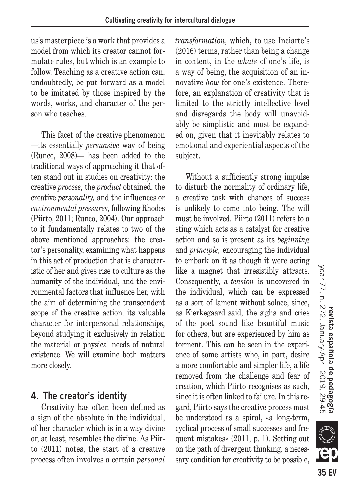us's masterpiece is a work that provides a model from which its creator cannot formulate rules, but which is an example to follow. Teaching as a creative action can, undoubtedly, be put forward as a model to be imitated by those inspired by the words, works, and character of the person who teaches.

This facet of the creative phenomenon —its essentially *persuasive* way of being (Runco, 2008)— has been added to the traditional ways of approaching it that often stand out in studies on creativity: the creative *process,* the *product* obtained, the creative *personality,* and the influences or *environmental pressures,* following Rhodes (Piirto, 2011; Runco, 2004). Our approach to it fundamentally relates to two of the above mentioned approaches: the creator's personality, examining what happens in this act of production that is characteristic of her and gives rise to culture as the humanity of the individual, and the environmental factors that influence her, with the aim of determining the transcendent scope of the creative action, its valuable character for interpersonal relationships, beyond studying it exclusively in relation the material or physical needs of natural existence. We will examine both matters more closely.

## **4. The creator's identity**

Creativity has often been defined as a sign of the absolute in the individual, of her character which is in a way divine or, at least, resembles the divine. As Piirto (2011) notes, the start of a creative process often involves a certain *personal*  *transformation,* which, to use Inciarte's (2016) terms, rather than being a change in content, in the *whats* of one's life, is a way of being, the acquisition of an innovative *how* for one's existence. Therefore, an explanation of creativity that is limited to the strictly intellective level and disregards the body will unavoidably be simplistic and must be expanded on, given that it inevitably relates to emotional and experiential aspects of the subject.

Without a sufficiently strong impulse to disturb the normality of ordinary life, a creative task with chances of success is unlikely to come into being. The will must be involved. Piirto (2011) refers to a sting which acts as a catalyst for creative action and so is present as its *beginning* and *principle,* encouraging the individual to embark on it as though it were acting like a magnet that irresistibly attracts. Consequently, a *tension* is uncovered in the individual, which can be expressed as a sort of lament without solace, since, as Kierkegaard said, the sighs and cries of the poet sound like beautiful music for others, but are experienced by him as torment. This can be seen in the experience of some artists who, in part, desire a more comfortable and simpler life, a life removed from the challenge and fear of creation, which Piirto recognises as such, since it is often linked to failure. In this regard, Piirto says the creative process must be understood as a spiral, «a long-term, cyclical process of small successes and frequent mistakes» (2011, p. 1). Setting out on the path of divergent thinking, a necessary condition for creativity to be possible,



**SILLE**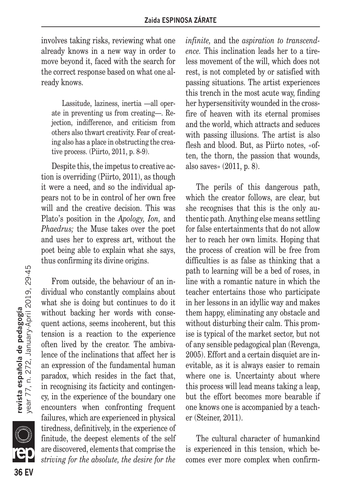involves taking risks, reviewing what one already knows in a new way in order to move beyond it, faced with the search for the correct response based on what one already knows.

Lassitude, laziness, inertia —all operate in preventing us from creating—. Rejection, indifference, and criticism from others also thwart creativity. Fear of creating also has a place in obstructing the creative process. (Piirto, 2011, p. 8-9).

Despite this, the impetus to creative action is overriding (Piirto, 2011), as though it were a need, and so the individual appears not to be in control of her own free will and the creative decision. This was Plato's position in the *Apology, Ion,* and *Phaedrus;* the Muse takes over the poet and uses her to express art, without the poet being able to explain what she says, thus confirming its divine origins.

From outside, the behaviour of an individual who constantly complains about what she is doing but continues to do it without backing her words with consequent actions, seems incoherent, but this tension is a reaction to the experience often lived by the creator. The ambivalence of the inclinations that affect her is an expression of the fundamental human paradox, which resides in the fact that, in recognising its facticity and contingency, in the experience of the boundary one encounters when confronting frequent failures, which are experienced in physical tiredness, definitively, in the experience of finitude, the deepest elements of the self are discovered, elements that comprise the *striving for the absolute, the desire for the*  *infinite,* and the *aspiration to transcendence.* This inclination leads her to a tireless movement of the will, which does not rest, is not completed by or satisfied with passing situations. The artist experiences this trench in the most acute way, finding her hypersensitivity wounded in the crossfire of heaven with its eternal promises and the world, which attracts and seduces with passing illusions. The artist is also flesh and blood. But, as Piirto notes, «often, the thorn, the passion that wounds, also saves» (2011, p. 8).

The perils of this dangerous path, which the creator follows, are clear, but she recognises that this is the only authentic path. Anything else means settling for false entertainments that do not allow her to reach her own limits. Hoping that the process of creation will be free from difficulties is as false as thinking that a path to learning will be a bed of roses, in line with a romantic nature in which the teacher entertains those who participate in her lessons in an idyllic way and makes them happy, eliminating any obstacle and without disturbing their calm. This promise is typical of the market sector, but not of any sensible pedagogical plan (Revenga, 2005). Effort and a certain disquiet are inevitable, as it is always easier to remain where one is. Uncertainty about where this process will lead means taking a leap, but the effort becomes more bearable if one knows one is accompanied by a teacher (Steiner, 2011).

The cultural character of humankind is experienced in this tension, which becomes ever more complex when confirm-

**revista española de pedagogía**<br>year 77, n. 272, January April 2019, 29.45 **36 EV revista española de pedagogía** year 77, n. 272, January-April 2019, 29-45

**36 FV** 

er<br>K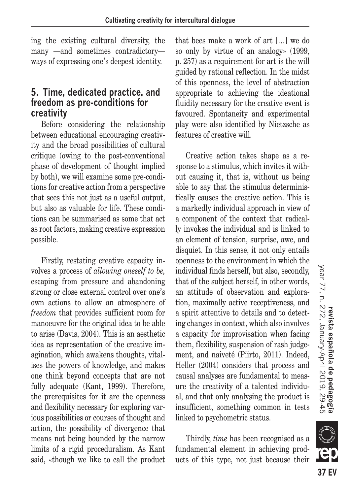ing the existing cultural diversity, the many —and sometimes contradictory ways of expressing one's deepest identity.

## **5. Time, dedicated practice, and freedom as pre-conditions for creativity**

Before considering the relationship between educational encouraging creativity and the broad possibilities of cultural critique (owing to the post-conventional phase of development of thought implied by both), we will examine some pre-conditions for creative action from a perspective that sees this not just as a useful output, but also as valuable for life. These conditions can be summarised as some that act as root factors, making creative expression possible.

Firstly, restating creative capacity involves a process of *allowing oneself to be,* escaping from pressure and abandoning strong or close external control over one's own actions to allow an atmosphere of *freedom* that provides sufficient room for manoeuvre for the original idea to be able to arise (Davis, 2004). This is an aesthetic idea as representation of the creative imagination, which awakens thoughts, vitalises the powers of knowledge, and makes one think beyond concepts that are not fully adequate (Kant, 1999). Therefore, the prerequisites for it are the openness and flexibility necessary for exploring various possibilities or courses of thought and action, the possibility of divergence that means not being bounded by the narrow limits of a rigid proceduralism. As Kant said, «though we like to call the product that bees make a work of art […] we do so only by virtue of an analogy» (1999, p. 257) as a requirement for art is the will guided by rational reflection. In the midst of this openness, the level of abstraction appropriate to achieving the ideational fluidity necessary for the creative event is favoured. Spontaneity and experimental play were also identified by Nietzsche as features of creative will.

Creative action takes shape as a response to a stimulus, which invites it without causing it, that is, without us being able to say that the stimulus deterministically causes the creative action. This is a markedly individual approach in view of a component of the context that radically invokes the individual and is linked to an element of tension, surprise, awe, and disquiet. In this sense, it not only entails openness to the environment in which the individual finds herself, but also, secondly, that of the subject herself, in other words, an attitude of observation and exploration, maximally active receptiveness, and a spirit attentive to details and to detecting changes in context, which also involves a capacity for improvisation when facing them, flexibility, suspension of rash judgement, and naiveté (Piirto, 2011). Indeed, Heller (2004) considers that process and causal analyses are fundamental to measure the creativity of a talented individual, and that only analysing the product is insufficient, something common in tests linked to psychometric status.

Thirdly, *time* has been recognised as a fundamental element in achieving products of this type, not just because their

**37 FV** 

**SIII**Z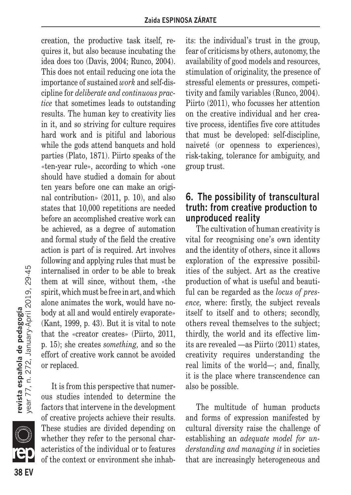creation, the productive task itself, requires it, but also because incubating the idea does too (Davis, 2004; Runco, 2004). This does not entail reducing one iota the importance of sustained *work* and self-discipline for *deliberate and continuous practice* that sometimes leads to outstanding results. The human key to creativity lies in it, and so striving for culture requires hard work and is pitiful and laborious while the gods attend banquets and hold parties (Plato, 1871). Piirto speaks of the «ten-year rule», according to which «one should have studied a domain for about ten years before one can make an original contribution» (2011, p. 10), and also states that 10,000 repetitions are needed before an accomplished creative work can be achieved, as a degree of automation and formal study of the field the creative action is part of is required. Art involves following and applying rules that must be internalised in order to be able to break them at will since, without them, «the spirit, which must be free in art, and which alone animates the work, would have nobody at all and would entirely evaporate» (Kant, 1999, p. 43). But it is vital to note that the «creator creates» (Piirto, 2011, p. 15); she creates *something,* and so the effort of creative work cannot be avoided or replaced.

It is from this perspective that numerous studies intended to determine the factors that intervene in the development of creative projects achieve their results. These studies are divided depending on whether they refer to the personal characteristics of the individual or to features of the context or environment she inhabits: the individual's trust in the group, fear of criticisms by others, autonomy, the availability of good models and resources, stimulation of originality, the presence of stressful elements or pressures, competitivity and family variables (Runco, 2004). Piirto (2011), who focusses her attention on the creative individual and her creative process, identifies five core attitudes that must be developed: self-discipline, naiveté (or openness to experiences), risk-taking, tolerance for ambiguity, and group trust.

## **6. The possibility of transcultural truth: from creative production to unproduced reality**

The cultivation of human creativity is vital for recognising one's own identity and the identity of others, since it allows exploration of the expressive possibilities of the subject. Art as the creative production of what is useful and beautiful can be regarded as the *locus of presence,* where: firstly, the subject reveals itself to itself and to others; secondly, others reveal themselves to the subject; thirdly, the world and its effective limits are revealed —as Piirto (2011) states, creativity requires understanding the real limits of the world—; and, finally, it is the place where transcendence can also be possible.

The multitude of human products and forms of expression manifested by cultural diversity raise the challenge of establishing an *adequate model for understanding and managing it* in societies that are increasingly heterogeneous and

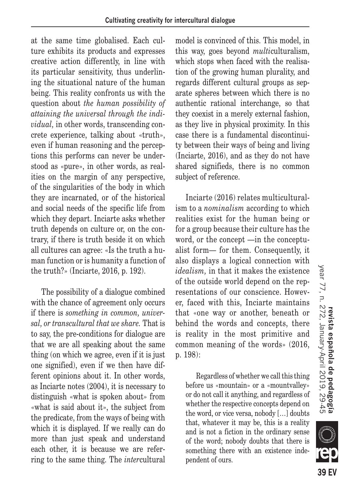at the same time globalised. Each culture exhibits its products and expresses creative action differently, in line with its particular sensitivity, thus underlining the situational nature of the human being. This reality confronts us with the question about *the human possibility of attaining the universal through the individual,* in other words, transcending concrete experience, talking about «truth», even if human reasoning and the perceptions this performs can never be understood as «pure», in other words, as realities on the margin of any perspective, of the singularities of the body in which they are incarnated, or of the historical and social needs of the specific life from which they depart. Inciarte asks whether truth depends on culture or, on the contrary, if there is truth beside it on which all cultures can agree: «Is the truth a human function or is humanity a function of the truth?» (Inciarte, 2016, p. 192).

The possibility of a dialogue combined with the chance of agreement only occurs if there is *something in common, universal, or transcultural that we share.* That is to say, the pre-conditions for dialogue are that we are all speaking about the same thing (on which we agree, even if it is just one signified), even if we then have different opinions about it. In other words, as Inciarte notes (2004), it is necessary to distinguish «what is spoken about» from «what is said about it», the subject from the predicate, from the ways of being with which it is displayed. If we really can do more than just speak and understand each other, it is because we are referring to the same thing. The *inter*cultural model is convinced of this. This model, in this way, goes beyond *multi*culturalism, which stops when faced with the realisation of the growing human plurality, and regards different cultural groups as separate spheres between which there is no authentic rational interchange, so that they coexist in a merely external fashion, as they live in physical proximity. In this case there is a fundamental discontinuity between their ways of being and living (Inciarte, 2016), and as they do not have shared signifieds, there is no common subject of reference.

Inciarte (2016) relates multiculturalism to a *nominalism* according to which realities exist for the human being or for a group because their culture has the word, or the concept —in the conceptualist form— for them. Consequently, it also displays a logical connection with *idealism,* in that it makes the existence of the outside world depend on the representations of our conscience. However, faced with this, Inciarte maintains that «one way or another, beneath or behind the words and concepts, there is reality in the most primitive and common meaning of the words» (2016, p. 198):

Regardless of whether we call this thing before us «mountain» or a «mountvalley» or do not call it anything, and regardless of whether the respective concepts depend on the word, or vice versa, nobody […] doubts that, whatever it may be, this is a reality and is not a fiction in the ordinary sense of the word; nobody doubts that there is something there with an existence independent of ours.

**KIII**)

**39 FV**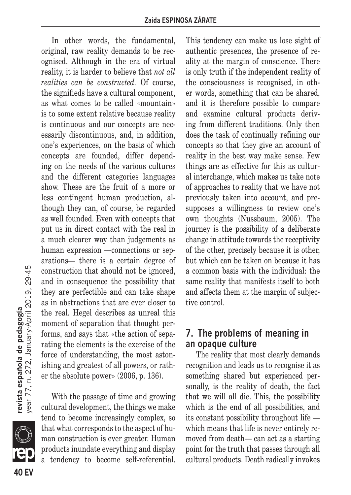In other words, the fundamental, original, raw reality demands to be recognised. Although in the era of virtual reality, it is harder to believe that *not all realities can be constructed.* Of course, the signifieds have a cultural component, as what comes to be called «mountain» is to some extent relative because reality is continuous and our concepts are necessarily discontinuous, and, in addition, one's experiences, on the basis of which concepts are founded, differ depending on the needs of the various cultures and the different categories languages show. These are the fruit of a more or less contingent human production, although they can, of course, be regarded as well founded. Even with concepts that put us in direct contact with the real in a much clearer way than judgements as human expression —connections or separations— there is a certain degree of construction that should not be ignored, and in consequence the possibility that they are perfectible and can take shape as in abstractions that are ever closer to the real. Hegel describes as unreal this moment of separation that thought performs, and says that «the action of separating the elements is the exercise of the force of understanding, the most astonishing and greatest of all powers, or rather the absolute power» (2006, p. 136).

With the passage of time and growing cultural development, the things we make tend to become increasingly complex, so that what corresponds to the aspect of human construction is ever greater. Human products inundate everything and display a tendency to become self-referential.

This tendency can make us lose sight of authentic presences, the presence of reality at the margin of conscience. There is only truth if the independent reality of the consciousness is recognised, in other words, something that can be shared, and it is therefore possible to compare and examine cultural products deriving from different traditions. Only then does the task of continually refining our concepts so that they give an account of reality in the best way make sense. Few things are as effective for this as cultural interchange, which makes us take note of approaches to reality that we have not previously taken into account, and presupposes a willingness to review one's own thoughts (Nussbaum, 2005). The journey is the possibility of a deliberate change in attitude towards the receptivity of the other, precisely because it is other, but which can be taken on because it has a common basis with the individual: the same reality that manifests itself to both and affects them at the margin of subjective control.

#### **7. The problems of meaning in an opaque culture**

The reality that most clearly demands recognition and leads us to recognise it as something shared but experienced personally, is the reality of death, the fact that we will all die. This, the possibility which is the end of all possibilities, and its constant possibility throughout life which means that life is never entirely removed from death— can act as a starting point for the truth that passes through all cultural products. Death radically invokes

**revista española de pedagogía**<br>year 77, n. 272, January April 2019, 29-45 **40 EV revista española de pedagogía** year 77, n. 272, January-April 2019, 29-45

**40 FV** 

en<br>Compara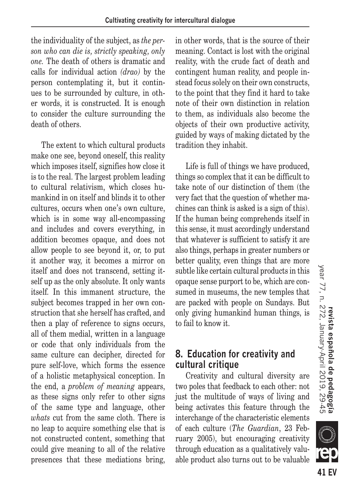the individuality of the subject, as *the person who can die is, strictly speaking, only one.* The death of others is dramatic and calls for individual action *(drao)* by the person contemplating it, but it continues to be surrounded by culture, in other words, it is constructed. It is enough to consider the culture surrounding the death of others.

The extent to which cultural products make one see, beyond oneself, this reality which imposes itself, signifies how close it is to the real. The largest problem leading to cultural relativism, which closes humankind in on itself and blinds it to other cultures, occurs when one's own culture, which is in some way all-encompassing and includes and covers everything, in addition becomes opaque, and does not allow people to see beyond it, or, to put it another way, it becomes a mirror on itself and does not transcend, setting itself up as the only absolute. It only wants itself. In this immanent structure, the subject becomes trapped in her own construction that she herself has crafted, and then a play of reference to signs occurs, all of them medial, written in a language or code that only individuals from the same culture can decipher, directed for pure self-love, which forms the essence of a holistic metaphysical conception. In the end, a *problem of meaning* appears, as these signs only refer to other signs of the same type and language, other *whats* cut from the same cloth. There is no leap to acquire something else that is not constructed content, something that could give meaning to all of the relative presences that these mediations bring, in other words, that is the source of their meaning. Contact is lost with the original reality, with the crude fact of death and contingent human reality, and people instead focus solely on their own constructs, to the point that they find it hard to take note of their own distinction in relation to them, as individuals also become the objects of their own productive activity, guided by ways of making dictated by the tradition they inhabit.

Life is full of things we have produced, things so complex that it can be difficult to take note of our distinction of them (the very fact that the question of whether machines can think is asked is a sign of this). If the human being comprehends itself in this sense, it must accordingly understand that whatever is sufficient to satisfy it are also things, perhaps in greater numbers or better quality, even things that are more subtle like certain cultural products in this opaque sense purport to be, which are consumed in museums, the new temples that are packed with people on Sundays. But only giving humankind human things, is to fail to know it.

## **8. Education for creativity and cultural critique**

Creativity and cultural diversity are two poles that feedback to each other: not just the multitude of ways of living and being activates this feature through the interchange of the characteristic elements of each culture (*The Guardian*, 23 February 2005), but encouraging creativity through education as a qualitatively valuable product also turns out to be valuable



**III**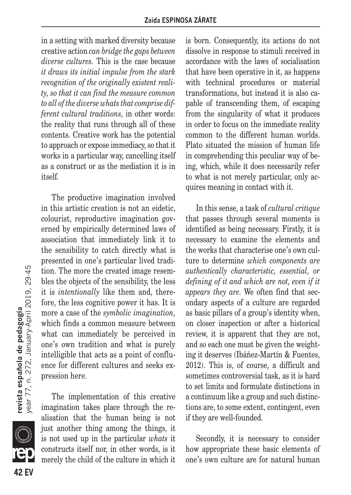in a setting with marked diversity because creative action *can bridge the gaps between diverse cultures.* This is the case because *it draws its initial impulse from the stark recognition of the originally existent reality, so that it can find the measure common to all of the diverse whats that comprise different cultural traditions,* in other words: the reality that runs through all of these contents. Creative work has the potential to approach or expose immediacy, so that it works in a particular way, cancelling itself as a construct or as the mediation it is in itself.

The productive imagination involved in this artistic creation is not an eidetic, colourist, reproductive imagination governed by empirically determined laws of association that immediately link it to the sensibility to catch directly what is presented in one's particular lived tradition. The more the created image resembles the objects of the sensibility, the less it is *intentionally* like them and, therefore, the less cognitive power it has. It is more a case of the *symbolic imagination,* which finds a common measure between what can immediately be perceived in one's own tradition and what is purely intelligible that acts as a point of confluence for different cultures and seeks expression here.

The implementation of this creative imagination takes place through the realisation that the human being is not just another thing among the things, it is not used up in the particular *whats* it constructs itself nor, in other words, is it merely the child of the culture in which it is born. Consequently, its actions do not dissolve in response to stimuli received in accordance with the laws of socialisation that have been operative in it, as happens with technical procedures or material transformations, but instead it is also capable of transcending them, of escaping from the singularity of what it produces in order to focus on the immediate reality common to the different human worlds. Plato situated the mission of human life in comprehending this peculiar way of being, which, while it does necessarily refer to what is not merely particular, only acquires meaning in contact with it.

In this sense, a task of *cultural critique* that passes through several moments is identified as being necessary. Firstly, it is necessary to examine the elements and the works that characterise one's own culture to determine *which components are authentically characteristic, essential, or defining of it and which are not, even if it appears they are.* We often find that secondary aspects of a culture are regarded as basic pillars of a group's identity when, on closer inspection or after a historical review, it is apparent that they are not, and so each one must be given the weighting it deserves (Ibáñez-Martín & Fuentes, 2012). This is, of course, a difficult and sometimes controversial task, as it is hard to set limits and formulate distinctions in a continuum like a group and such distinctions are, to some extent, contingent, even if they are well-founded.

Secondly, it is necessary to consider how appropriate these basic elements of one's own culture are for natural human

en<br>Compara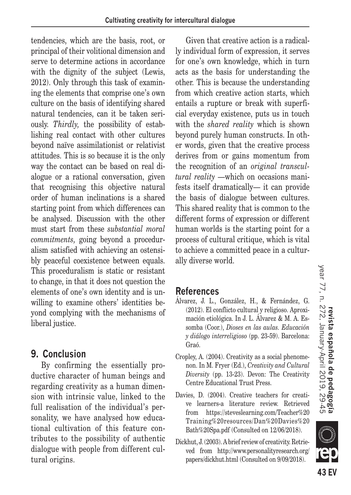tendencies, which are the basis, root, or principal of their volitional dimension and serve to determine actions in accordance with the dignity of the subject (Lewis, 2012). Only through this task of examining the elements that comprise one's own culture on the basis of identifying shared natural tendencies, can it be taken seriously. *Thirdly,* the possibility of establishing real contact with other cultures beyond naïve assimilationist or relativist attitudes. This is so because it is the only way the contact can be based on real dialogue or a rational conversation, given that recognising this objective natural order of human inclinations is a shared starting point from which differences can be analysed. Discussion with the other must start from these *substantial moral commitments,* going beyond a proceduralism satisfied with achieving an ostensibly peaceful coexistence between equals. This proceduralism is static or resistant to change, in that it does not question the elements of one's own identity and is unwilling to examine others' identities beyond complying with the mechanisms of liberal justice.

## **9. Conclusion**

By confirming the essentially productive character of human beings and regarding creativity as a human dimension with intrinsic value, linked to the full realisation of the individual's personality, we have analysed how educational cultivation of this feature contributes to the possibility of authentic dialogue with people from different cultural origins.

Given that creative action is a radically individual form of expression, it serves for one's own knowledge, which in turn acts as the basis for understanding the other. This is because the understanding from which creative action starts, which entails a rupture or break with superficial everyday existence, puts us in touch with the *shared reality* which is shown beyond purely human constructs. In other words, given that the creative process derives from or gains momentum from the recognition of an *original transcultural reality* —which on occasions manifests itself dramatically— it can provide the basis of dialogue between cultures. This shared reality that is common to the different forms of expression or different human worlds is the starting point for a process of cultural critique, which is vital to achieve a committed peace in a culturally diverse world.

## **References**

- Álvarez, J. L., González, H., & Fernández, G. (2012). El conflicto cultural y religioso. Aproximación etiológica. In J. L. Álvarez & M. A. Essomba (Coor.), *Dioses en las aulas. Educación y diálogo interreligioso* (pp. 23-59). Barcelona: Graó.
- Cropley, A. (2004). Creativity as a social phenomenon. In M. Fryer (Ed.), *Creativity and Cultural Diversity* (pp. 13-23). Devon: The Creativity Centre Educational Trust Press.
- Davies, D. (2004). Creative teachers for creative learners-a literature review. Retrieved from https://steveslearning.com/Teacher%20 Training%20resources/Dan%20Davies%20 Bath%20Spa.pdf (Consulted on 12/06/2018).
- Dickhut, J. (2003). A brief review of creativity. Retrieved from http://www.personalityresearch.org/ papers/dickhut.html (Consulted on 9/09/2018).

**III**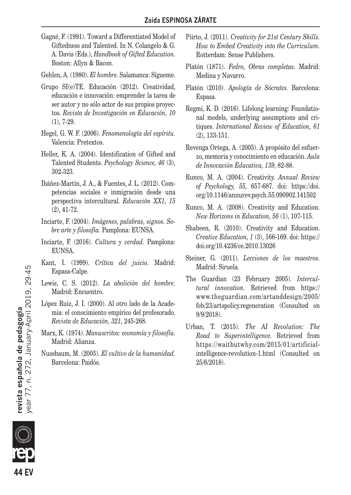- Gagné, F. (1991). Toward a Differentiated Model of Giftedness and Talented. In N. Colangelo & G. A. Davis (Eds.), *Handbook of Gifted Education.* Boston: Allyn & Bacon.
- Gehlen, A. (1980). *El hombre.* Salamanca: Sígueme.
- Grupo SI(e)TE. Educación (2012). Creatividad, educación e innovación: emprender la tarea de ser autor y no sólo actor de sus propios proyectos. *Revista de Investigación en Educación, 10* (1), 7-29.
- Hegel, G. W. F. (2006). *Fenomenología del espíritu.* Valencia: Pretextos.
- Heller, K. A. (2004). Identification of Gifted and Talented Students. *Psychology Science, 46* (3), 302-323.
- Ibáñez-Martín, J. A., & Fuentes, J. L. (2012). Competencias sociales e inmigración desde una perspectiva intercultural. *Educación XX1, 15* (2), 41-72.
- Inciarte, F. (2004). *Imágenes, palabras, signos. Sobre arte y filosofía.* Pamplona: EUNSA.
- Inciarte, F. (2016). *Cultura y verdad.* Pamplona: EUNSA.
- Kant, I. (1999). *Crítica del juicio.* Madrid: Espasa-Calpe.
- Lewis, C. S. (2012). *La abolición del hombre.* Madrid: Encuentro.
- López Ruiz, J. I. (2000). Al otro lado de la Academia: el conocimiento empírico del profesorado. *Revista de Educación, 321,* 245-268.
- Marx, K. (1974). *Manuscritos: economía y filosofía.* Madrid: Alianza.
- Nussbaum, M. (2005). *El cultivo de la humanidad.* Barcelona: Paidós.
- Piirto, J. (2011). *Creativity for 21st Century Skills. How to Embed Creativity into the Curriculum.* Rotterdam: Sense Publishers.
- Platón (1871). *Fedro, Obras completas.* Madrid: Medina y Navarro.
- Platón (2010). *Apología de Sócrates.* Barcelona: Espasa.
- Regmi, K. D. (2016). Lifelong learning: Foundational models, underlying assumptions and critiques. *International Review of Education, 61* (2), 133-151.
- Revenga Ortega, A. (2005). A propósito del esfuerzo, memoria y conocimiento en educación. *Aula de Innovación Educativa, 139,* 82-88.
- Runco, M. A. (2004). Creativity. *Annual Review of Psychology, 55,* 657-687. doi: https://doi. org/10.1146/annurev.psych.55.090902.141502
- Runco, M. A. (2008). Creativity and Education. *New Horizons in Education, 56* (1), 107-115.
- Shaheen, R. (2010). Creativity and Education. *Creative Education, 1* (3), 166-169. doi: https:// doi.org/10.4236/ce.2010.13026
- Steiner, G. (2011). *Lecciones de los maestros.* Madrid: Siruela.
- The Guardian (23 February 2005). *Intercultural innovation.* Retrieved from https:// www.theguardian.com/artanddesign/2005/ feb/23/artspolicy.regeneration (Consulted on 9/9/2018).
- Urban, T. (2015). *The AI Revolution: The Road to Superintelligence.* Retrieved from https://waitbutwhy.com/2015/01/artificialintelligence-revolution-1.html (Consulted on 25/6/2018).

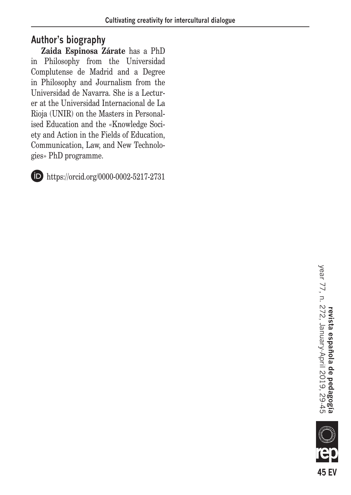## **Author's biography**

**Zaida Espinosa Zárate** has a PhD in Philosophy from the Universidad Complutense de Madrid and a Degree in Philosophy and Journalism from the Universidad de Navarra. She is a Lecturer at the Universidad Internacional de La Rioja (UNIR) on the Masters in Personalised Education and the «Knowledge Society and Action in the Fields of Education, Communication, Law, and New Technologies» PhD programme.



https://orcid.org/0000-0002-5217-2731

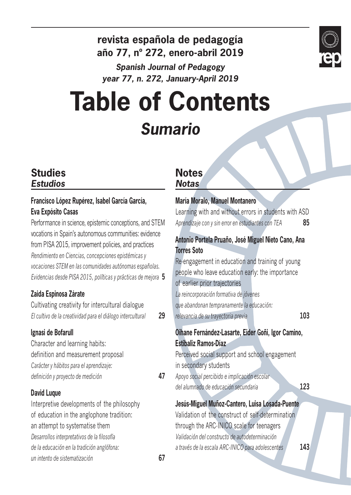

## **revista española de pedagogía año 77, nº 272, enero-abril 2019**

*Spanish Journal of Pedagogy year 77, n. 272, January-April 2019*

# **Table of Contents** *Sumario*

## **Studies** *Estudios*

#### **Francisco López Rupérez, Isabel García García, Eva Expósito Casas**

Performance in science, epistemic conceptions, and STEM vocations in Spain's autonomous communities: evidence from PISA 2015, improvement policies, and practices *Rendimiento en Ciencias, concepciones epistémicas y vocaciones STEM en las comunidades autónomas españolas. Evidencias desde PISA 2015, políticas y prácticas de mejora* **5**

## **Zaida Espinosa Zárate**

Cultivating creativity for intercultural dialogue *El cultivo de la creatividad para el diálogo intercultural* **29**

#### **Ignasi de Bofarull**

Character and learning habits: definition and measurement proposal *Carácter y hábitos para el aprendizaje: definición y proyecto de medición* **47**

#### **David Luque**

Interpretive developments of the philosophy of education in the anglophone tradition: an attempt to systematise them *Desarrollos interpretativos de la filosofía de la educación en la tradición anglófona: un intento de sistematización* **67**

## **Notes** *Notas*

## **María Moralo, Manuel Montanero** Learning with and without errors in students with ASD *Aprendizaje con y sin error en estudiantes con TEA* **85 Antonio Portela Pruaño, José Miguel Nieto Cano, Ana Torres Soto** Re-engagement in education and training of young people who leave education early: the importance of earlier prior trajectories *La reincorporación formativa de jóvenes que abandonan tempranamente la educación: relevancia de su trayectoria previa* **103 Oihane Fernández-Lasarte, Eider Goñi, Igor Camino, Estibaliz Ramos-Díaz** Perceived social support and school engagement in secondary students *Apoyo social percibido e implicación escolar del alumnado de educación secundaria* **123 Jesús-Miguel Muñoz-Cantero, Luisa Losada-Puente** Validation of the construct of self-determination through the ARC-INICO scale for teenagers *Validación del constructo de autodeterminación a través de la escala ARC-INICO para adolescentes* **143**